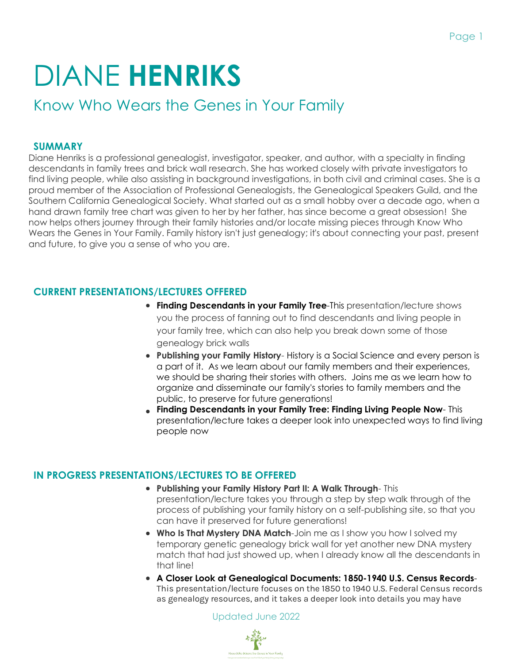# DIANE **HENRIKS**

Know Who Wears the Genes in Your Family

#### **SUMMARY**

Diane Henriks is a professional genealogist, investigator, speaker, and author, with a specialty in finding descendants in family trees and brick wall research. She has worked closely with private investigators to find living people, while also assisting in background investigations, in both civil and criminal cases. She is a proud member of the Association of Professional Genealogists, the Genealogical Speakers Guild, and the Southern California Genealogical Society. What started out as a small hobby over a decade ago, when a hand drawn family tree chart was given to her by her father, has since become a great obsession! She now helps others journey through their family histories and/or locate missing pieces through Know Who Wears the Genes in Your Family. Family history isn't just genealogy; it's about connecting your past, present and future, to give you a sense of who you are.

## **CURRENT PRESENTATIONS/LECTURES OFFERED**

- **Finding Descendants in your Family Tree-This presentation/lecture shows** you the process of fanning out to find descendants and living people in your family tree, which can also help you break down some of those genealogy brick walls
- **Publishing your Family History** History is a Social Science and every person is a part of it. As we learn about our family members and their experiences, we should be sharing their stories with others. Joins me as we learn how to organize and disseminate our family's stories to family members and the public, to preserve for future generations!
- **Finding Descendants in your Family Tree: Finding Living People Now** This presentation/lecture takes a deeper look into unexpected ways to find living people now

## **IN PROGRESS PRESENTATIONS/LECTURES TO BE OFFERED**

- **Publishing your Family History Part II: A Walk Through** This presentation/lecture takes you through a step by step walk through of the process of publishing your family history on a self-publishing site, so that you can have it preserved for future generations!
- **Who Is That Mystery DNA Match**-Join me as I show you how I solved my temporary genetic genealogy brick wall for yet another new DNA mystery match that had just showed up, when I already know all the descendants in that line!
- **A Closer Look at Genealogical Documents: 1850-1940 U.S. Census Records**-This presentation/lecture focuses on the 1850 to 1940 U.S. Federal Census records as genealogy resources, and it takes a deeper look into details you may have

Updated June 2022

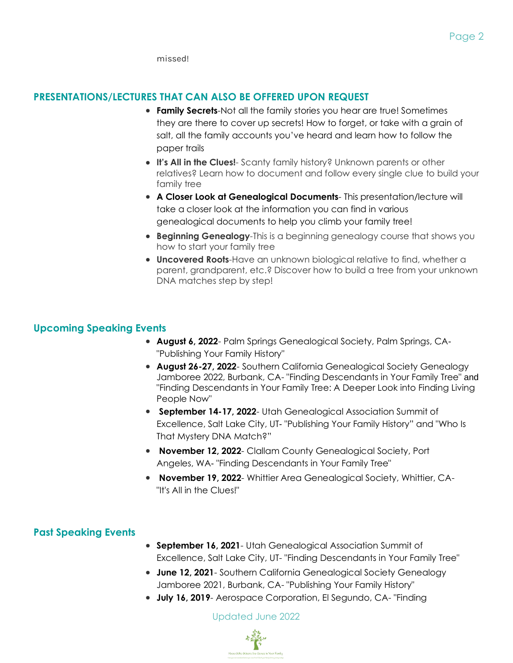missed!

#### **PRESENTATIONS/LECTURES THAT CAN ALSO BE OFFERED UPON REQUEST**

- **Family Secrets**-Not all the family stories you hear are true! Sometimes they are there to cover up secrets! How to forget, or take with a grain of salt, all the family accounts you've heard and learn how to follow the paper trails
- **It's All in the Clues!** Scanty family history? Unknown parents or other relatives? Learn how to document and follow every single clue to build your family tree
- **A Closer Look at Genealogical Documents** This presentation/lecture will take a closer look at the information you can find in various genealogical documents to help you climb your family tree!
- **Beginning Genealogy**-This is a beginning genealogy course that shows you how to start your family tree
- **Uncovered Roots**-Have an unknown biological relative to find, whether a parent, grandparent, etc.? Discover how to build a tree from your unknown DNA matches step by step!

#### **Upcoming Speaking Events**

- **August 6, 2022** Palm Springs Genealogical Society, Palm Springs, CA- "Publishing Your Family History"
- **August 26-27, 2022** Southern California Genealogical Society Genealogy Jamboree 2022, Burbank, CA- "Finding Descendants in Your Family Tree" and "Finding Descendants in Your Family Tree: A Deeper Look into Finding Living People Now"
- **September 14-17, 2022** Utah Genealogical Association Summit of Excellence, Salt Lake City, UT- "Publishing Your Family History" and "Who Is That Mystery DNA Match?"
- **November 12, 2022** Clallam County Genealogical Society, Port Angeles, WA- "Finding Descendants in Your Family Tree"
- **November 19, 2022** Whittier Area Genealogical Society, Whittier, CA- "It's All in the Clues!"

## **Past Speaking Events**

- **September 16, 2021** Utah Genealogical Association Summit of Excellence, Salt Lake City, UT- "Finding Descendants in Your Family Tree"
- **June 12, 2021** Southern California Genealogical Society Genealogy Jamboree 2021, Burbank, CA- "Publishing Your Family History"
- **July 16, 2019** Aerospace Corporation, El Segundo, CA- "Finding

Updated June 2022